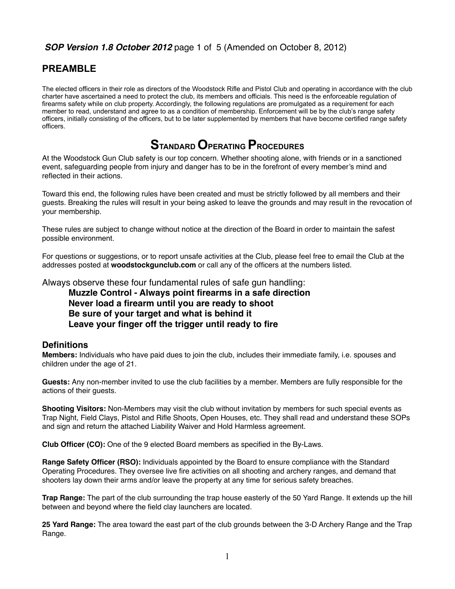# **PREAMBLE**

The elected officers in their role as directors of the Woodstock Rifle and Pistol Club and operating in accordance with the club charter have ascertained a need to protect the club, its members and officials. This need is the enforceable regulation of firearms safety while on club property. Accordingly, the following regulations are promulgated as a requirement for each member to read, understand and agree to as a condition of membership. Enforcement will be by the club's range safety officers, initially consisting of the officers, but to be later supplemented by members that have become certified range safety officers.

# **STANDARD OPERATING PROCEDURES**

At the Woodstock Gun Club safety is our top concern. Whether shooting alone, with friends or in a sanctioned event, safeguarding people from injury and danger has to be in the forefront of every member's mind and reflected in their actions.

Toward this end, the following rules have been created and must be strictly followed by all members and their guests. Breaking the rules will result in your being asked to leave the grounds and may result in the revocation of your membership.

These rules are subject to change without notice at the direction of the Board in order to maintain the safest possible environment.

For questions or suggestions, or to report unsafe activities at the Club, please feel free to email the Club at the addresses posted at **woodstockgunclub.com** or call any of the officers at the numbers listed.

Always observe these four fundamental rules of safe gun handling:

**Muzzle Control - Always point firearms in a safe direction Never load a firearm until you are ready to shoot Be sure of your target and what is behind it Leave your finger off the trigger until ready to fire**

#### **Definitions**

**Members:** Individuals who have paid dues to join the club, includes their immediate family, i.e. spouses and children under the age of 21.

**Guests:** Any non-member invited to use the club facilities by a member. Members are fully responsible for the actions of their guests.

**Shooting Visitors:** Non-Members may visit the club without invitation by members for such special events as Trap Night, Field Clays, Pistol and Rifle Shoots, Open Houses, etc. They shall read and understand these SOPs and sign and return the attached Liability Waiver and Hold Harmless agreement.

**Club Officer (CO):** One of the 9 elected Board members as specified in the By-Laws.

**Range Safety Officer (RSO):** Individuals appointed by the Board to ensure compliance with the Standard Operating Procedures. They oversee live fire activities on all shooting and archery ranges, and demand that shooters lay down their arms and/or leave the property at any time for serious safety breaches.

**Trap Range:** The part of the club surrounding the trap house easterly of the 50 Yard Range. It extends up the hill between and beyond where the field clay launchers are located.

**25 Yard Range:** The area toward the east part of the club grounds between the 3-D Archery Range and the Trap Range.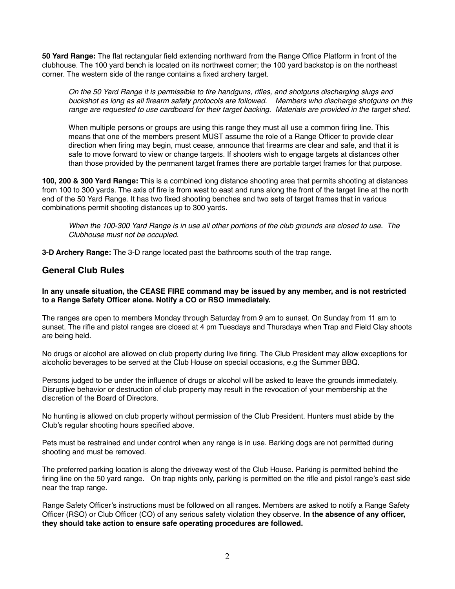**50 Yard Range:** The flat rectangular field extending northward from the Range Office Platform in front of the clubhouse. The 100 yard bench is located on its northwest corner; the 100 yard backstop is on the northeast corner. The western side of the range contains a fixed archery target.

*On the 50 Yard Range it is permissible to fire handguns, rifles, and shotguns discharging slugs and buckshot as long as all firearm safety protocols are followed. Members who discharge shotguns on this range are requested to use cardboard for their target backing. Materials are provided in the target shed.*

When multiple persons or groups are using this range they must all use a common firing line. This means that one of the members present MUST assume the role of a Range Officer to provide clear direction when firing may begin, must cease, announce that firearms are clear and safe, and that it is safe to move forward to view or change targets. If shooters wish to engage targets at distances other than those provided by the permanent target frames there are portable target frames for that purpose.

**100, 200 & 300 Yard Range:** This is a combined long distance shooting area that permits shooting at distances from 100 to 300 yards. The axis of fire is from west to east and runs along the front of the target line at the north end of the 50 Yard Range. It has two fixed shooting benches and two sets of target frames that in various combinations permit shooting distances up to 300 yards.

*When the 100-300 Yard Range is in use all other portions of the club grounds are closed to use. The Clubhouse must not be occupied.*

**3-D Archery Range:** The 3-D range located past the bathrooms south of the trap range.

#### **General Club Rules**

#### **In any unsafe situation, the CEASE FIRE command may be issued by any member, and is not restricted to a Range Safety Officer alone. Notify a CO or RSO immediately.**

The ranges are open to members Monday through Saturday from 9 am to sunset. On Sunday from 11 am to sunset. The rifle and pistol ranges are closed at 4 pm Tuesdays and Thursdays when Trap and Field Clay shoots are being held.

No drugs or alcohol are allowed on club property during live firing. The Club President may allow exceptions for alcoholic beverages to be served at the Club House on special occasions, e.g the Summer BBQ.

Persons judged to be under the influence of drugs or alcohol will be asked to leave the grounds immediately. Disruptive behavior or destruction of club property may result in the revocation of your membership at the discretion of the Board of Directors.

No hunting is allowed on club property without permission of the Club President. Hunters must abide by the Club's regular shooting hours specified above.

Pets must be restrained and under control when any range is in use. Barking dogs are not permitted during shooting and must be removed.

The preferred parking location is along the driveway west of the Club House. Parking is permitted behind the firing line on the 50 yard range. On trap nights only, parking is permitted on the rifle and pistol range's east side near the trap range.

Range Safety Officer's instructions must be followed on all ranges. Members are asked to notify a Range Safety Officer (RSO) or Club Officer (CO) of any serious safety violation they observe. **In the absence of any officer, they should take action to ensure safe operating procedures are followed.**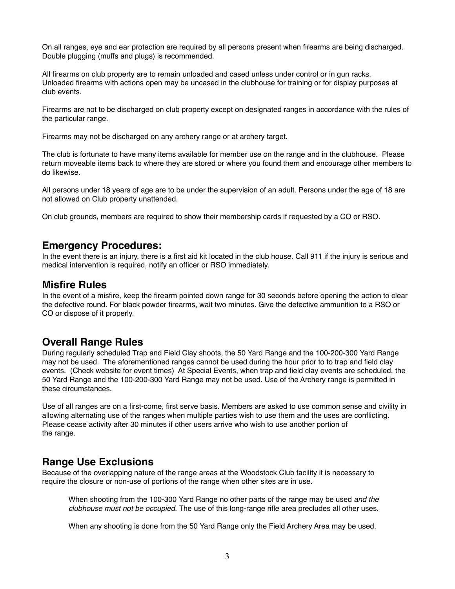On all ranges, eye and ear protection are required by all persons present when firearms are being discharged. Double plugging (muffs and plugs) is recommended.

All firearms on club property are to remain unloaded and cased unless under control or in gun racks. Unloaded firearms with actions open may be uncased in the clubhouse for training or for display purposes at club events.

Firearms are not to be discharged on club property except on designated ranges in accordance with the rules of the particular range.

Firearms may not be discharged on any archery range or at archery target.

The club is fortunate to have many items available for member use on the range and in the clubhouse. Please return moveable items back to where they are stored or where you found them and encourage other members to do likewise.

All persons under 18 years of age are to be under the supervision of an adult. Persons under the age of 18 are not allowed on Club property unattended.

On club grounds, members are required to show their membership cards if requested by a CO or RSO.

#### **Emergency Procedures:**

In the event there is an injury, there is a first aid kit located in the club house. Call 911 if the injury is serious and medical intervention is required, notify an officer or RSO immediately.

#### **Misfire Rules**

In the event of a misfire, keep the firearm pointed down range for 30 seconds before opening the action to clear the defective round. For black powder firearms, wait two minutes. Give the defective ammunition to a RSO or CO or dispose of it properly.

# **Overall Range Rules**

During regularly scheduled Trap and Field Clay shoots, the 50 Yard Range and the 100-200-300 Yard Range may not be used. The aforementioned ranges cannot be used during the hour prior to to trap and field clay events. (Check website for event times) At Special Events, when trap and field clay events are scheduled, the 50 Yard Range and the 100-200-300 Yard Range may not be used. Use of the Archery range is permitted in these circumstances.

Use of all ranges are on a first-come, first serve basis. Members are asked to use common sense and civility in allowing alternating use of the ranges when multiple parties wish to use them and the uses are conflicting. Please cease activity after 30 minutes if other users arrive who wish to use another portion of the range.

# **Range Use Exclusions**

Because of the overlapping nature of the range areas at the Woodstock Club facility it is necessary to require the closure or non-use of portions of the range when other sites are in use.

When shooting from the 100-300 Yard Range no other parts of the range may be used *and the clubhouse must not be occupied*. The use of this long-range rifle area precludes all other uses.

When any shooting is done from the 50 Yard Range only the Field Archery Area may be used.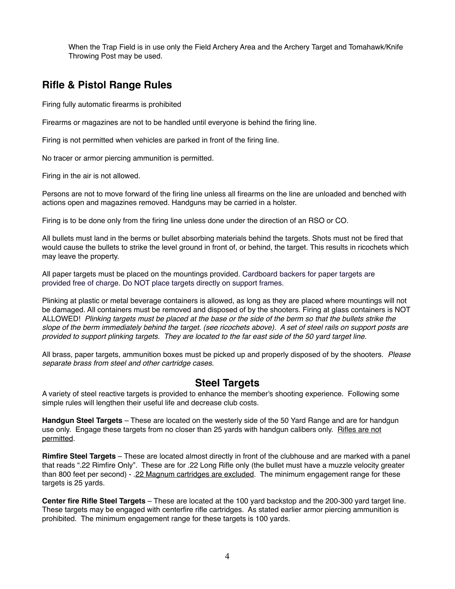When the Trap Field is in use only the Field Archery Area and the Archery Target and Tomahawk/Knife Throwing Post may be used.

# **Rifle & Pistol Range Rules**

Firing fully automatic firearms is prohibited

Firearms or magazines are not to be handled until everyone is behind the firing line.

Firing is not permitted when vehicles are parked in front of the firing line.

No tracer or armor piercing ammunition is permitted.

Firing in the air is not allowed.

Persons are not to move forward of the firing line unless all firearms on the line are unloaded and benched with actions open and magazines removed. Handguns may be carried in a holster.

Firing is to be done only from the firing line unless done under the direction of an RSO or CO.

All bullets must land in the berms or bullet absorbing materials behind the targets. Shots must not be fired that would cause the bullets to strike the level ground in front of, or behind, the target. This results in ricochets which may leave the property.

All paper targets must be placed on the mountings provided. Cardboard backers for paper targets are provided free of charge. Do NOT place targets directly on support frames.

Plinking at plastic or metal beverage containers is allowed, as long as they are placed where mountings will not be damaged. All containers must be removed and disposed of by the shooters. Firing at glass containers is NOT ALLOWED! *Plinking targets must be placed at the base or the side of the berm so that the bullets strike the slope of the berm immediately behind the target. (see ricochets above). A set of steel rails on support posts are provided to support plinking targets. They are located to the far east side of the 50 yard target line.*

All brass, paper targets, ammunition boxes must be picked up and properly disposed of by the shooters. *Please separate brass from steel and other cartridge cases.*

# **Steel Targets**

A variety of steel reactive targets is provided to enhance the member's shooting experience. Following some simple rules will lengthen their useful life and decrease club costs.

**Handgun Steel Targets** – These are located on the westerly side of the 50 Yard Range and are for handgun use only. Engage these targets from no closer than 25 yards with handgun calibers only. Rifles are not permitted.

**Rimfire Steel Targets** – These are located almost directly in front of the clubhouse and are marked with a panel that reads ".22 Rimfire Only". These are for .22 Long Rifle only (the bullet must have a muzzle velocity greater than 800 feet per second) - .22 Magnum cartridges are excluded. The minimum engagement range for these targets is 25 yards.

**Center fire Rifle Steel Targets** – These are located at the 100 yard backstop and the 200-300 yard target line. These targets may be engaged with centerfire rifle cartridges. As stated earlier armor piercing ammunition is prohibited. The minimum engagement range for these targets is 100 yards.